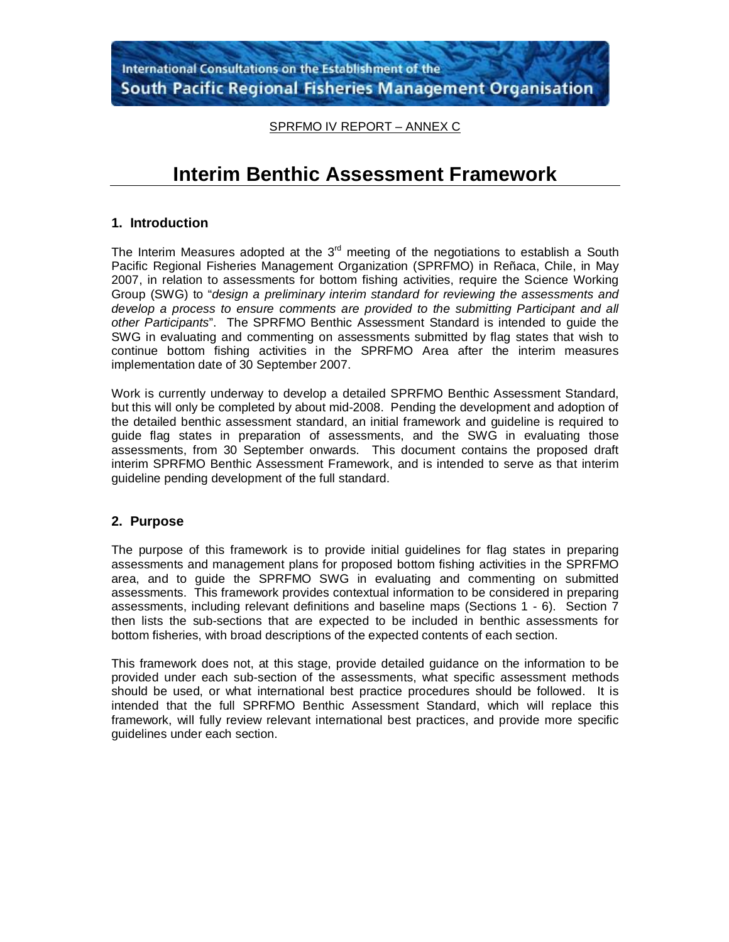SPRFMO IV REPORT – ANNEX C

# **Interim Benthic Assessment Framework**

## **1. Introduction**

The Interim Measures adopted at the  $3<sup>rd</sup>$  meeting of the negotiations to establish a South Pacific Regional Fisheries Management Organization (SPRFMO) in Reñaca, Chile, in May 2007, in relation to assessments for bottom fishing activities, require the Science Working Group (SWG) to "*design a preliminary interim standard for reviewing the assessments and develop a process to ensure comments are provided to the submitting Participant and all other Participants*". The SPRFMO Benthic Assessment Standard is intended to guide the SWG in evaluating and commenting on assessments submitted by flag states that wish to continue bottom fishing activities in the SPRFMO Area after the interim measures implementation date of 30 September 2007.

Work is currently underway to develop a detailed SPRFMO Benthic Assessment Standard, but this will only be completed by about mid-2008. Pending the development and adoption of the detailed benthic assessment standard, an initial framework and guideline is required to guide flag states in preparation of assessments, and the SWG in evaluating those assessments, from 30 September onwards. This document contains the proposed draft interim SPRFMO Benthic Assessment Framework, and is intended to serve as that interim guideline pending development of the full standard.

#### **2. Purpose**

The purpose of this framework is to provide initial guidelines for flag states in preparing assessments and management plans for proposed bottom fishing activities in the SPRFMO area, and to guide the SPRFMO SWG in evaluating and commenting on submitted assessments. This framework provides contextual information to be considered in preparing assessments, including relevant definitions and baseline maps (Sections 1 - 6). Section 7 then lists the sub-sections that are expected to be included in benthic assessments for bottom fisheries, with broad descriptions of the expected contents of each section.

This framework does not, at this stage, provide detailed guidance on the information to be provided under each sub-section of the assessments, what specific assessment methods should be used, or what international best practice procedures should be followed. It is intended that the full SPRFMO Benthic Assessment Standard, which will replace this framework, will fully review relevant international best practices, and provide more specific guidelines under each section.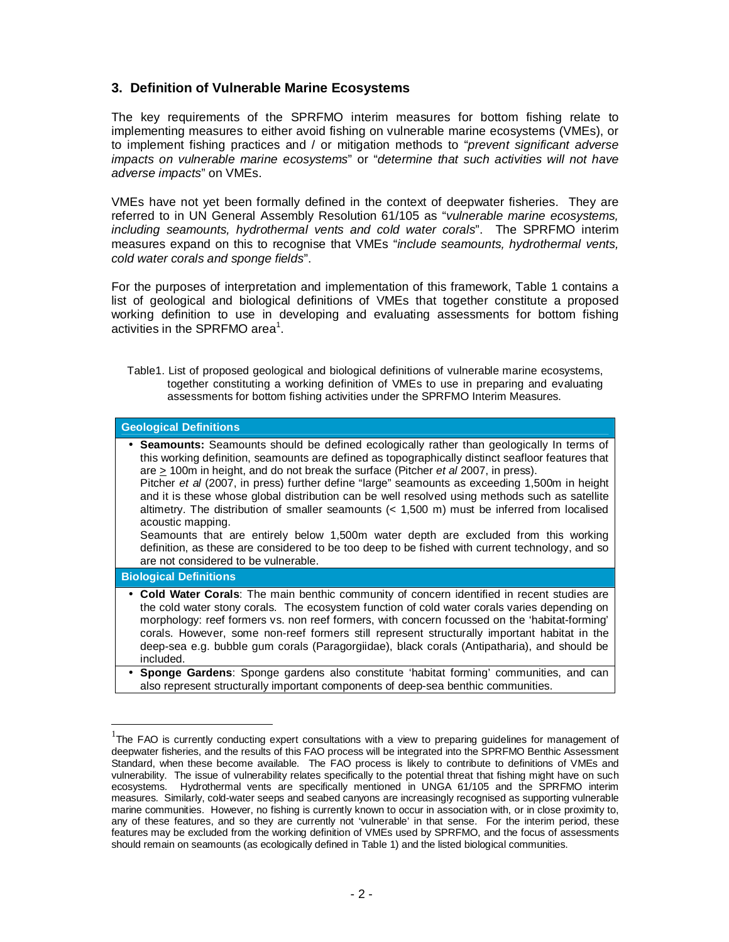## **3. Definition of Vulnerable Marine Ecosystems**

The key requirements of the SPRFMO interim measures for bottom fishing relate to implementing measures to either avoid fishing on vulnerable marine ecosystems (VMEs), or to implement fishing practices and / or mitigation methods to "*prevent significant adverse impacts on vulnerable marine ecosystems*" or "*determine that such activities will not have adverse impacts*" on VMEs.

VMEs have not yet been formally defined in the context of deepwater fisheries. They are referred to in UN General Assembly Resolution 61/105 as "*vulnerable marine ecosystems, including seamounts, hydrothermal vents and cold water corals*". The SPRFMO interim measures expand on this to recognise that VMEs "*include seamounts, hydrothermal vents, cold water corals and sponge fields*".

For the purposes of interpretation and implementation of this framework, Table 1 contains a list of geological and biological definitions of VMEs that together constitute a proposed working definition to use in developing and evaluating assessments for bottom fishing activities in the SPRFMO area<sup>1</sup>.

Table1. List of proposed geological and biological definitions of vulnerable marine ecosystems, together constituting a working definition of VMEs to use in preparing and evaluating assessments for bottom fishing activities under the SPRFMO Interim Measures.

| <b>Geological Definitions</b>                                                                                                                                                                                                                                                                                                                                                                                                                                                                                                                                                                                                                                                                                                                                                                                                               |  |  |
|---------------------------------------------------------------------------------------------------------------------------------------------------------------------------------------------------------------------------------------------------------------------------------------------------------------------------------------------------------------------------------------------------------------------------------------------------------------------------------------------------------------------------------------------------------------------------------------------------------------------------------------------------------------------------------------------------------------------------------------------------------------------------------------------------------------------------------------------|--|--|
| • Seamounts: Seamounts should be defined ecologically rather than geologically In terms of<br>this working definition, seamounts are defined as topographically distinct seafloor features that<br>are $\geq$ 100m in height, and do not break the surface (Pitcher <i>et al</i> 2007, in press).<br>Pitcher et al (2007, in press) further define "large" seamounts as exceeding 1,500m in height<br>and it is these whose global distribution can be well resolved using methods such as satellite<br>altimetry. The distribution of smaller seamounts $(1,500 m) must be inferred from localisedacoustic mapping.Seamounts that are entirely below 1,500m water depth are excluded from this workingdefinition, as these are considered to be too deep to be fished with current technology, and soare not considered to be vulnerable.$ |  |  |
| <b>Biological Definitions</b>                                                                                                                                                                                                                                                                                                                                                                                                                                                                                                                                                                                                                                                                                                                                                                                                               |  |  |
| • Cold Water Corals: The main benthic community of concern identified in recent studies are<br>the cold water stony corals. The ecosystem function of cold water corals varies depending on<br>morphology: reef formers vs. non reef formers, with concern focussed on the 'habitat-forming'<br>corals. However, some non-reef formers still represent structurally important habitat in the<br>deep-sea e.g. bubble gum corals (Paragorgiidae), black corals (Antipatharia), and should be<br>included.                                                                                                                                                                                                                                                                                                                                    |  |  |
| • Sponge Gardens: Sponge gardens also constitute 'habitat forming' communities, and can<br>also represent structurally important components of deep-sea benthic communities.                                                                                                                                                                                                                                                                                                                                                                                                                                                                                                                                                                                                                                                                |  |  |

 $1$ The FAO is currently conducting expert consultations with a view to preparing guidelines for management of deepwater fisheries, and the results of this FAO process will be integrated into the SPRFMO Benthic Assessment Standard, when these become available. The FAO process is likely to contribute to definitions of VMEs and vulnerability. The issue of vulnerability relates specifically to the potential threat that fishing might have on such ecosystems. Hydrothermal vents are specifically mentioned in UNGA 61/105 and the SPRFMO interim measures. Similarly, cold-water seeps and seabed canyons are increasingly recognised as supporting vulnerable marine communities. However, no fishing is currently known to occur in association with, or in close proximity to, any of these features, and so they are currently not 'vulnerable' in that sense. For the interim period, these features may be excluded from the working definition of VMEs used by SPRFMO, and the focus of assessments should remain on seamounts (as ecologically defined in Table 1) and the listed biological communities.

-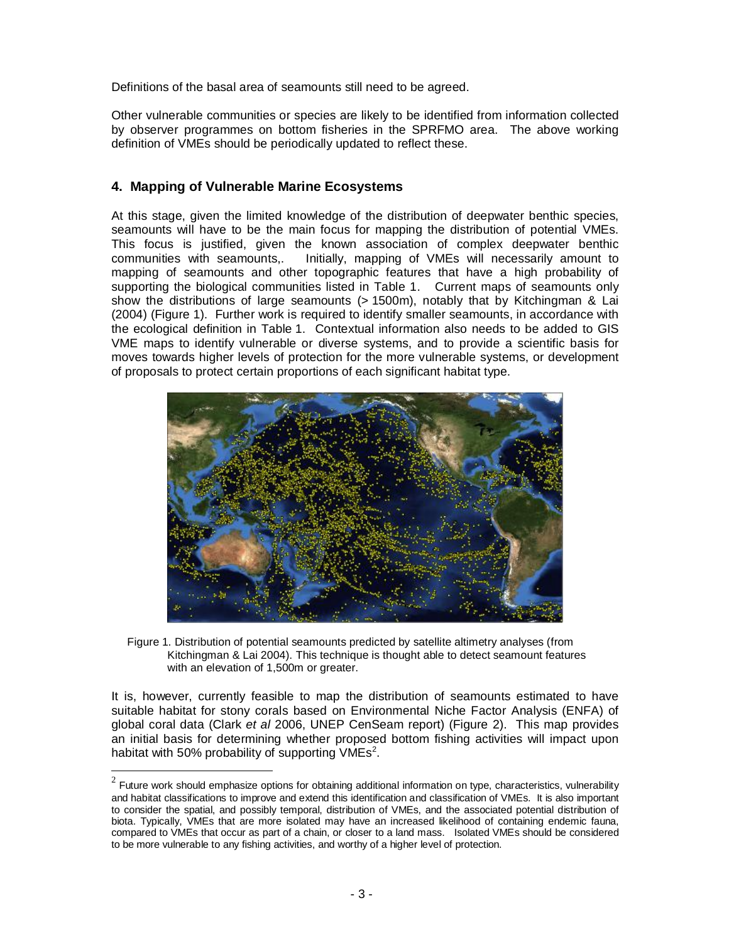Definitions of the basal area of seamounts still need to be agreed.

Other vulnerable communities or species are likely to be identified from information collected by observer programmes on bottom fisheries in the SPRFMO area. The above working definition of VMEs should be periodically updated to reflect these.

## **4. Mapping of Vulnerable Marine Ecosystems**

 $\overline{a}$ 

At this stage, given the limited knowledge of the distribution of deepwater benthic species, seamounts will have to be the main focus for mapping the distribution of potential VMEs. This focus is justified, given the known association of complex deepwater benthic communities with seamounts. Initially mapping of VMEs will necessarily amount to Initially, mapping of VMEs will necessarily amount to mapping of seamounts and other topographic features that have a high probability of supporting the biological communities listed in Table 1. Current maps of seamounts only show the distributions of large seamounts (> 1500m), notably that by Kitchingman & Lai (2004) (Figure 1). Further work is required to identify smaller seamounts, in accordance with the ecological definition in Table 1. Contextual information also needs to be added to GIS VME maps to identify vulnerable or diverse systems, and to provide a scientific basis for moves towards higher levels of protection for the more vulnerable systems, or development of proposals to protect certain proportions of each significant habitat type.



Figure 1. Distribution of potential seamounts predicted by satellite altimetry analyses (from Kitchingman & Lai 2004). This technique is thought able to detect seamount features with an elevation of 1,500m or greater.

It is, however, currently feasible to map the distribution of seamounts estimated to have suitable habitat for stony corals based on Environmental Niche Factor Analysis (ENFA) of global coral data (Clark *et al* 2006, UNEP CenSeam report) (Figure 2). This map provides an initial basis for determining whether proposed bottom fishing activities will impact upon habitat with 50% probability of supporting  $VMEs<sup>2</sup>$ .

 $^2$  Future work should emphasize options for obtaining additional information on type, characteristics, vulnerability and habitat classifications to improve and extend this identification and classification of VMEs. It is also important to consider the spatial, and possibly temporal, distribution of VMEs, and the associated potential distribution of biota. Typically, VMEs that are more isolated may have an increased likelihood of containing endemic fauna, compared to VMEs that occur as part of a chain, or closer to a land mass. Isolated VMEs should be considered to be more vulnerable to any fishing activities, and worthy of a higher level of protection.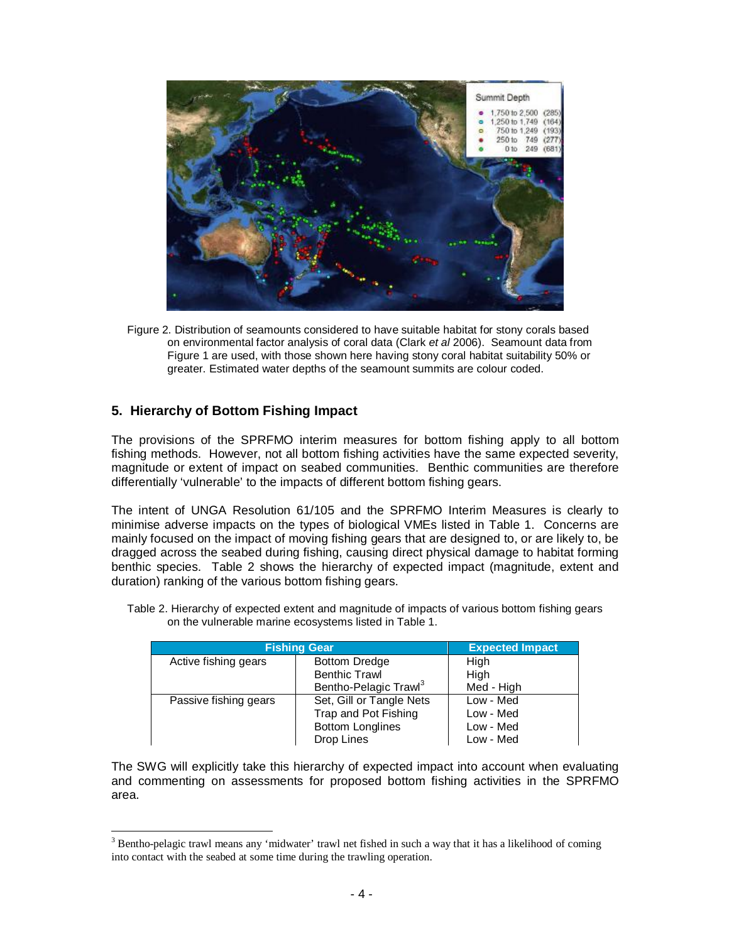

Figure 2. Distribution of seamounts considered to have suitable habitat for stony corals based on environmental factor analysis of coral data (Clark *et al* 2006). Seamount data from Figure 1 are used, with those shown here having stony coral habitat suitability 50% or greater. Estimated water depths of the seamount summits are colour coded.

# **5. Hierarchy of Bottom Fishing Impact**

-

The provisions of the SPRFMO interim measures for bottom fishing apply to all bottom fishing methods. However, not all bottom fishing activities have the same expected severity, magnitude or extent of impact on seabed communities. Benthic communities are therefore differentially 'vulnerable' to the impacts of different bottom fishing gears.

The intent of UNGA Resolution 61/105 and the SPRFMO Interim Measures is clearly to minimise adverse impacts on the types of biological VMEs listed in Table 1. Concerns are mainly focused on the impact of moving fishing gears that are designed to, or are likely to, be dragged across the seabed during fishing, causing direct physical damage to habitat forming benthic species. Table 2 shows the hierarchy of expected impact (magnitude, extent and duration) ranking of the various bottom fishing gears.

| <b>Fishing Gear</b>   |                                   | <b>Expected Impact</b> |
|-----------------------|-----------------------------------|------------------------|
| Active fishing gears  | <b>Bottom Dredge</b>              | High                   |
|                       | <b>Benthic Trawl</b>              | High                   |
|                       | Bentho-Pelagic Trawl <sup>3</sup> | Med - High             |
| Passive fishing gears | Set, Gill or Tangle Nets          | Low - Med              |
|                       | Trap and Pot Fishing              | Low - Med              |
|                       | <b>Bottom Longlines</b>           | Low - Med              |
|                       | Drop Lines                        | Low - Med              |

Table 2. Hierarchy of expected extent and magnitude of impacts of various bottom fishing gears on the vulnerable marine ecosystems listed in Table 1.

The SWG will explicitly take this hierarchy of expected impact into account when evaluating and commenting on assessments for proposed bottom fishing activities in the SPRFMO area.

<sup>&</sup>lt;sup>3</sup> Bentho-pelagic trawl means any 'midwater' trawl net fished in such a way that it has a likelihood of coming into contact with the seabed at some time during the trawling operation.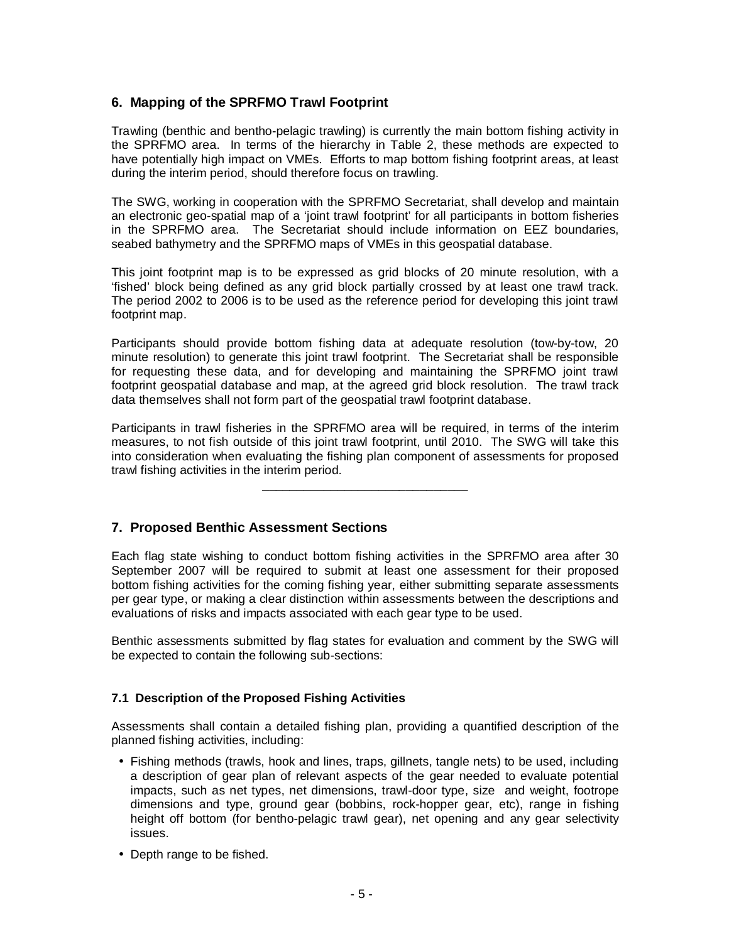## **6. Mapping of the SPRFMO Trawl Footprint**

Trawling (benthic and bentho-pelagic trawling) is currently the main bottom fishing activity in the SPRFMO area. In terms of the hierarchy in Table 2, these methods are expected to have potentially high impact on VMEs. Efforts to map bottom fishing footprint areas, at least during the interim period, should therefore focus on trawling.

The SWG, working in cooperation with the SPRFMO Secretariat, shall develop and maintain an electronic geo-spatial map of a 'joint trawl footprint' for all participants in bottom fisheries in the SPRFMO area. The Secretariat should include information on EEZ boundaries, seabed bathymetry and the SPRFMO maps of VMEs in this geospatial database.

This joint footprint map is to be expressed as grid blocks of 20 minute resolution, with a 'fished' block being defined as any grid block partially crossed by at least one trawl track. The period 2002 to 2006 is to be used as the reference period for developing this joint trawl footprint map.

Participants should provide bottom fishing data at adequate resolution (tow-by-tow, 20 minute resolution) to generate this joint trawl footprint. The Secretariat shall be responsible for requesting these data, and for developing and maintaining the SPRFMO joint trawl footprint geospatial database and map, at the agreed grid block resolution. The trawl track data themselves shall not form part of the geospatial trawl footprint database.

Participants in trawl fisheries in the SPRFMO area will be required, in terms of the interim measures, to not fish outside of this joint trawl footprint, until 2010. The SWG will take this into consideration when evaluating the fishing plan component of assessments for proposed trawl fishing activities in the interim period.

\_\_\_\_\_\_\_\_\_\_\_\_\_\_\_\_\_\_\_\_\_\_\_\_\_\_\_\_\_\_

## **7. Proposed Benthic Assessment Sections**

Each flag state wishing to conduct bottom fishing activities in the SPRFMO area after 30 September 2007 will be required to submit at least one assessment for their proposed bottom fishing activities for the coming fishing year, either submitting separate assessments per gear type, or making a clear distinction within assessments between the descriptions and evaluations of risks and impacts associated with each gear type to be used.

Benthic assessments submitted by flag states for evaluation and comment by the SWG will be expected to contain the following sub-sections:

#### **7.1 Description of the Proposed Fishing Activities**

Assessments shall contain a detailed fishing plan, providing a quantified description of the planned fishing activities, including:

- Fishing methods (trawls, hook and lines, traps, gillnets, tangle nets) to be used, including a description of gear plan of relevant aspects of the gear needed to evaluate potential impacts, such as net types, net dimensions, trawl-door type, size and weight, footrope dimensions and type, ground gear (bobbins, rock-hopper gear, etc), range in fishing height off bottom (for bentho-pelagic trawl gear), net opening and any gear selectivity issues.
- Depth range to be fished.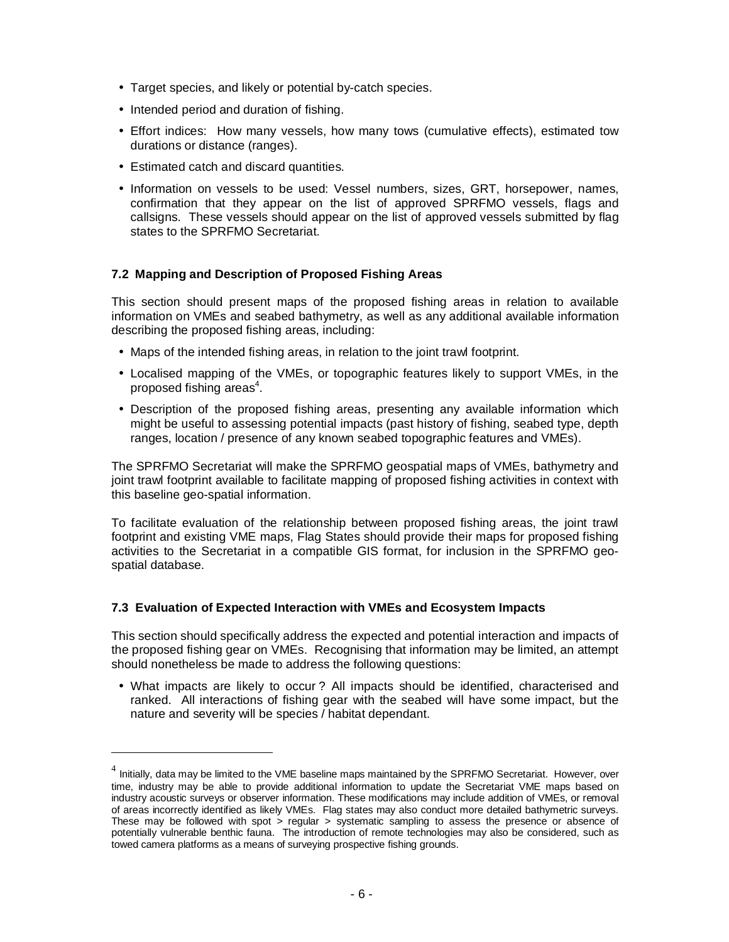- Target species, and likely or potential by-catch species.
- Intended period and duration of fishing.
- Effort indices: How many vessels, how many tows (cumulative effects), estimated tow durations or distance (ranges).
- Estimated catch and discard quantities.

 $\overline{a}$ 

• Information on vessels to be used: Vessel numbers, sizes, GRT, horsepower, names, confirmation that they appear on the list of approved SPRFMO vessels, flags and callsigns. These vessels should appear on the list of approved vessels submitted by flag states to the SPRFMO Secretariat.

#### **7.2 Mapping and Description of Proposed Fishing Areas**

This section should present maps of the proposed fishing areas in relation to available information on VMEs and seabed bathymetry, as well as any additional available information describing the proposed fishing areas, including:

- Maps of the intended fishing areas, in relation to the joint trawl footprint.
- Localised mapping of the VMEs, or topographic features likely to support VMEs, in the proposed fishing areas<sup>4</sup>.
- Description of the proposed fishing areas, presenting any available information which might be useful to assessing potential impacts (past history of fishing, seabed type, depth ranges, location / presence of any known seabed topographic features and VMEs).

The SPRFMO Secretariat will make the SPRFMO geospatial maps of VMEs, bathymetry and joint trawl footprint available to facilitate mapping of proposed fishing activities in context with this baseline geo-spatial information.

To facilitate evaluation of the relationship between proposed fishing areas, the joint trawl footprint and existing VME maps, Flag States should provide their maps for proposed fishing activities to the Secretariat in a compatible GIS format, for inclusion in the SPRFMO geospatial database.

#### **7.3 Evaluation of Expected Interaction with VMEs and Ecosystem Impacts**

This section should specifically address the expected and potential interaction and impacts of the proposed fishing gear on VMEs. Recognising that information may be limited, an attempt should nonetheless be made to address the following questions:

• What impacts are likely to occur ? All impacts should be identified, characterised and ranked. All interactions of fishing gear with the seabed will have some impact, but the nature and severity will be species / habitat dependant.

 $^4$  Initially, data may be limited to the VME baseline maps maintained by the SPRFMO Secretariat. However, over time, industry may be able to provide additional information to update the Secretariat VME maps based on industry acoustic surveys or observer information. These modifications may include addition of VMEs, or removal of areas incorrectly identified as likely VMEs. Flag states may also conduct more detailed bathymetric surveys. These may be followed with spot  $>$  regular  $>$  systematic sampling to assess the presence or absence of potentially vulnerable benthic fauna. The introduction of remote technologies may also be considered, such as towed camera platforms as a means of surveying prospective fishing grounds.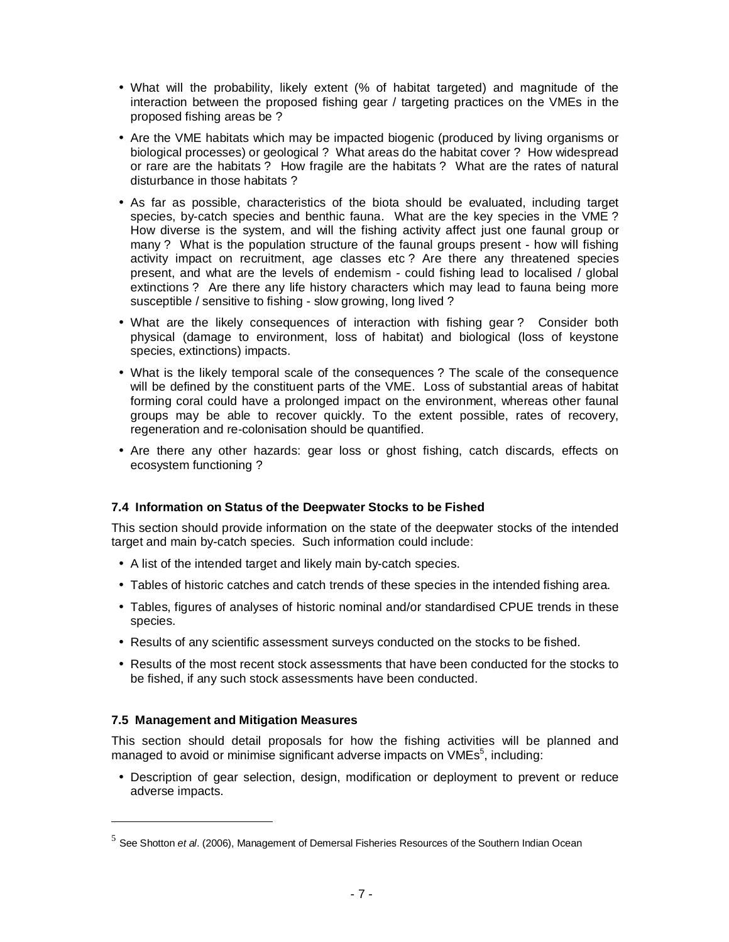- What will the probability, likely extent (% of habitat targeted) and magnitude of the interaction between the proposed fishing gear / targeting practices on the VMEs in the proposed fishing areas be ?
- Are the VME habitats which may be impacted biogenic (produced by living organisms or biological processes) or geological ? What areas do the habitat cover ? How widespread or rare are the habitats ? How fragile are the habitats ? What are the rates of natural disturbance in those habitats ?
- As far as possible, characteristics of the biota should be evaluated, including target species, by-catch species and benthic fauna. What are the key species in the VME ? How diverse is the system, and will the fishing activity affect just one faunal group or many ? What is the population structure of the faunal groups present - how will fishing activity impact on recruitment, age classes etc ? Are there any threatened species present, and what are the levels of endemism - could fishing lead to localised / global extinctions ? Are there any life history characters which may lead to fauna being more susceptible / sensitive to fishing - slow growing, long lived ?
- What are the likely consequences of interaction with fishing gear? Consider both physical (damage to environment, loss of habitat) and biological (loss of keystone species, extinctions) impacts.
- What is the likely temporal scale of the consequences ? The scale of the consequence will be defined by the constituent parts of the VME. Loss of substantial areas of habitat forming coral could have a prolonged impact on the environment, whereas other faunal groups may be able to recover quickly. To the extent possible, rates of recovery, regeneration and re-colonisation should be quantified.
- Are there any other hazards: gear loss or ghost fishing, catch discards, effects on ecosystem functioning ?

#### **7.4 Information on Status of the Deepwater Stocks to be Fished**

This section should provide information on the state of the deepwater stocks of the intended target and main by-catch species. Such information could include:

- A list of the intended target and likely main by-catch species.
- Tables of historic catches and catch trends of these species in the intended fishing area.
- Tables, figures of analyses of historic nominal and/or standardised CPUE trends in these species.
- Results of any scientific assessment surveys conducted on the stocks to be fished.
- Results of the most recent stock assessments that have been conducted for the stocks to be fished, if any such stock assessments have been conducted.

#### **7.5 Management and Mitigation Measures**

-

This section should detail proposals for how the fishing activities will be planned and managed to avoid or minimise significant adverse impacts on  $VMEs<sup>5</sup>$ , including:

• Description of gear selection, design, modification or deployment to prevent or reduce adverse impacts.

<sup>5</sup> See Shotton *et al*. (2006), Management of Demersal Fisheries Resources of the Southern Indian Ocean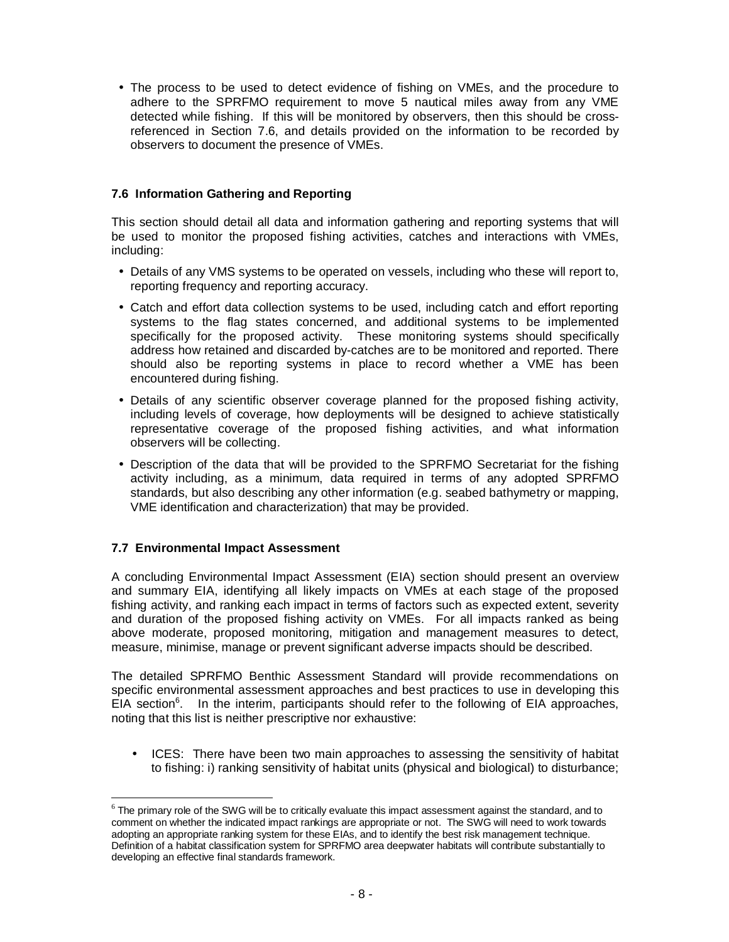• The process to be used to detect evidence of fishing on VMEs, and the procedure to adhere to the SPRFMO requirement to move 5 nautical miles away from any VME detected while fishing. If this will be monitored by observers, then this should be crossreferenced in Section 7.6, and details provided on the information to be recorded by observers to document the presence of VMEs.

## **7.6 Information Gathering and Reporting**

This section should detail all data and information gathering and reporting systems that will be used to monitor the proposed fishing activities, catches and interactions with VMEs, including:

- Details of any VMS systems to be operated on vessels, including who these will report to, reporting frequency and reporting accuracy.
- Catch and effort data collection systems to be used, including catch and effort reporting systems to the flag states concerned, and additional systems to be implemented specifically for the proposed activity. These monitoring systems should specifically address how retained and discarded by-catches are to be monitored and reported. There should also be reporting systems in place to record whether a VME has been encountered during fishing.
- Details of any scientific observer coverage planned for the proposed fishing activity, including levels of coverage, how deployments will be designed to achieve statistically representative coverage of the proposed fishing activities, and what information observers will be collecting.
- Description of the data that will be provided to the SPRFMO Secretariat for the fishing activity including, as a minimum, data required in terms of any adopted SPRFMO standards, but also describing any other information (e.g. seabed bathymetry or mapping, VME identification and characterization) that may be provided.

#### **7.7 Environmental Impact Assessment**

-

A concluding Environmental Impact Assessment (EIA) section should present an overview and summary EIA, identifying all likely impacts on VMEs at each stage of the proposed fishing activity, and ranking each impact in terms of factors such as expected extent, severity and duration of the proposed fishing activity on VMEs. For all impacts ranked as being above moderate, proposed monitoring, mitigation and management measures to detect, measure, minimise, manage or prevent significant adverse impacts should be described.

The detailed SPRFMO Benthic Assessment Standard will provide recommendations on specific environmental assessment approaches and best practices to use in developing this  $EIA$  section<sup>6</sup>. In the interim, participants should refer to the following of  $EIA$  approaches, noting that this list is neither prescriptive nor exhaustive:

• ICES: There have been two main approaches to assessing the sensitivity of habitat to fishing: i) ranking sensitivity of habitat units (physical and biological) to disturbance;

 $6$  The primary role of the SWG will be to critically evaluate this impact assessment against the standard, and to comment on whether the indicated impact rankings are appropriate or not. The SWG will need to work towards adopting an appropriate ranking system for these EIAs, and to identify the best risk management technique. Definition of a habitat classification system for SPRFMO area deepwater habitats will contribute substantially to developing an effective final standards framework.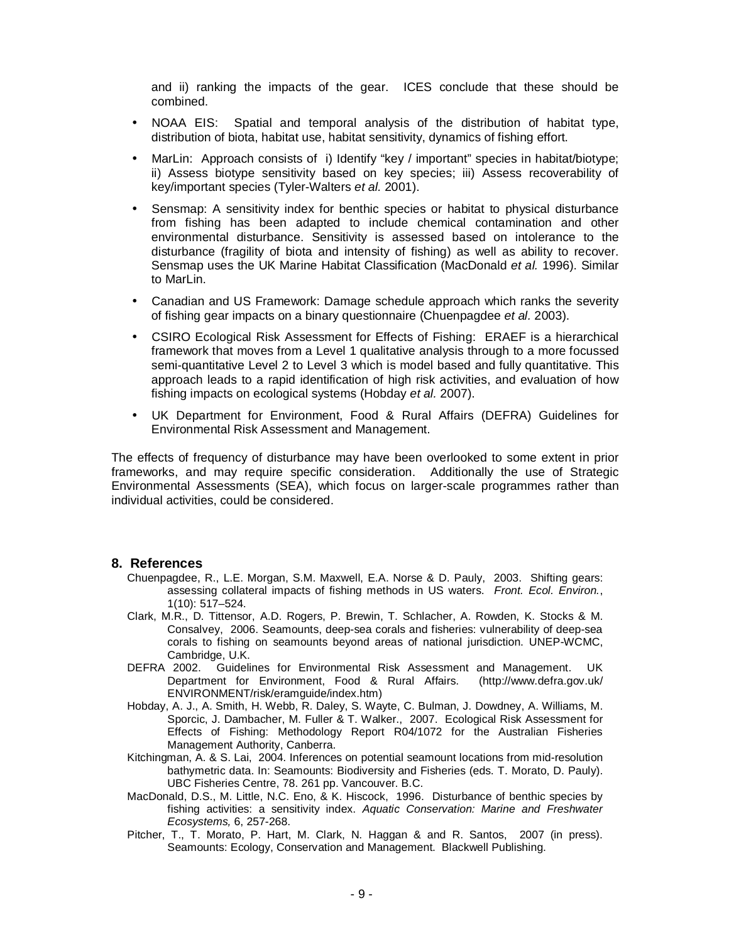and ii) ranking the impacts of the gear. ICES conclude that these should be combined.

- NOAA EIS: Spatial and temporal analysis of the distribution of habitat type, distribution of biota, habitat use, habitat sensitivity, dynamics of fishing effort.
- MarLin: Approach consists of i) Identify "key / important" species in habitat/biotype; ii) Assess biotype sensitivity based on key species; iii) Assess recoverability of key/important species (Tyler-Walters *et al.* 2001).
- Sensmap: A sensitivity index for benthic species or habitat to physical disturbance from fishing has been adapted to include chemical contamination and other environmental disturbance. Sensitivity is assessed based on intolerance to the disturbance (fragility of biota and intensity of fishing) as well as ability to recover. Sensmap uses the UK Marine Habitat Classification (MacDonald *et al.* 1996). Similar to MarLin.
- Canadian and US Framework: Damage schedule approach which ranks the severity of fishing gear impacts on a binary questionnaire (Chuenpagdee *et al.* 2003).
- CSIRO Ecological Risk Assessment for Effects of Fishing: ERAEF is a hierarchical framework that moves from a Level 1 qualitative analysis through to a more focussed semi-quantitative Level 2 to Level 3 which is model based and fully quantitative. This approach leads to a rapid identification of high risk activities, and evaluation of how fishing impacts on ecological systems (Hobday *et al.* 2007).
- UK Department for Environment, Food & Rural Affairs (DEFRA) Guidelines for Environmental Risk Assessment and Management.

The effects of frequency of disturbance may have been overlooked to some extent in prior frameworks, and may require specific consideration. Additionally the use of Strategic Environmental Assessments (SEA), which focus on larger-scale programmes rather than individual activities, could be considered.

#### **8. References**

- Chuenpagdee, R., L.E. Morgan, S.M. Maxwell, E.A. Norse & D. Pauly, 2003. Shifting gears: assessing collateral impacts of fishing methods in US waters. *Front. Ecol. Environ.*, 1(10): 517–524.
- Clark, M.R., D. Tittensor, A.D. Rogers, P. Brewin, T. Schlacher, A. Rowden, K. Stocks & M. Consalvey, 2006. Seamounts, deep-sea corals and fisheries: vulnerability of deep-sea corals to fishing on seamounts beyond areas of national jurisdiction. UNEP-WCMC, Cambridge, U.K.
- DEFRA 2002. Guidelines for Environmental Risk Assessment and Management. UK Department for Environment, Food & Rural Affairs. (http://www.defra.gov.uk/ ENVIRONMENT/risk/eramguide/index.htm)
- Hobday, A. J., A. Smith, H. Webb, R. Daley, S. Wayte, C. Bulman, J. Dowdney, A. Williams, M. Sporcic, J. Dambacher, M. Fuller & T. Walker., 2007. Ecological Risk Assessment for Effects of Fishing: Methodology Report R04/1072 for the Australian Fisheries Management Authority, Canberra.
- Kitchingman, A. & S. Lai, 2004. Inferences on potential seamount locations from mid-resolution bathymetric data. In: Seamounts: Biodiversity and Fisheries (eds. T. Morato, D. Pauly). UBC Fisheries Centre, 78. 261 pp. Vancouver. B.C.
- MacDonald, D.S., M. Little, N.C. Eno, & K. Hiscock, 1996. Disturbance of benthic species by fishing activities: a sensitivity index. *Aquatic Conservation: Marine and Freshwater Ecosystems,* 6, 257-268.
- Pitcher, T., T. Morato, P. Hart, M. Clark, N. Haggan & and R. Santos, 2007 (in press). Seamounts: Ecology, Conservation and Management. Blackwell Publishing.